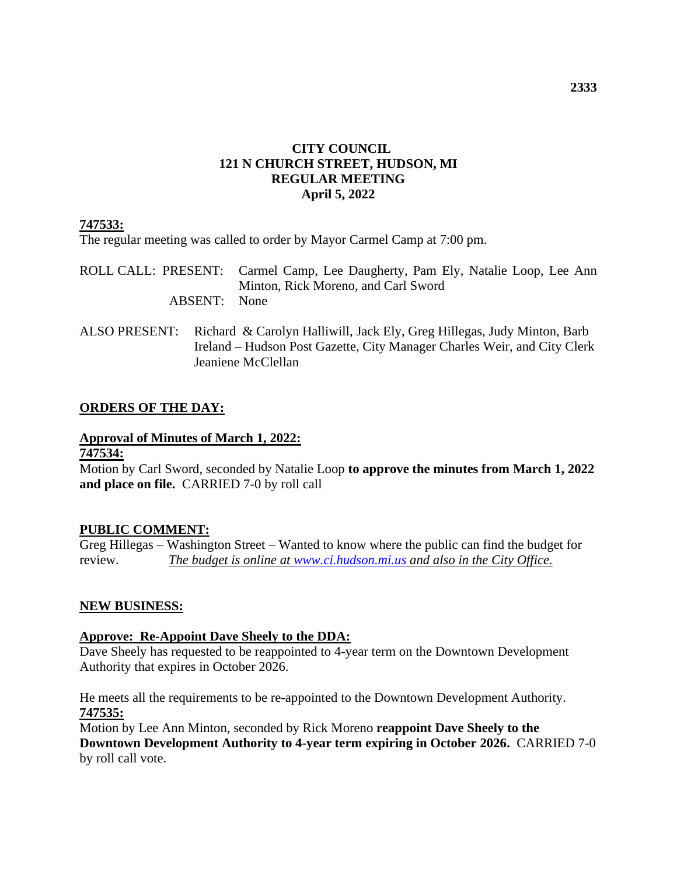# **CITY COUNCIL 121 N CHURCH STREET, HUDSON, MI REGULAR MEETING April 5, 2022**

# **747533:**

The regular meeting was called to order by Mayor Carmel Camp at 7:00 pm.

ROLL CALL: PRESENT: Carmel Camp, Lee Daugherty, Pam Ely, Natalie Loop, Lee Ann Minton, Rick Moreno, and Carl Sword ABSENT: None

ALSO PRESENT: Richard & Carolyn Halliwill, Jack Ely, Greg Hillegas, Judy Minton, Barb Ireland – Hudson Post Gazette, City Manager Charles Weir, and City Clerk Jeaniene McClellan

# **ORDERS OF THE DAY:**

# **Approval of Minutes of March 1, 2022:**

# **747534:**

Motion by Carl Sword, seconded by Natalie Loop **to approve the minutes from March 1, 2022 and place on file.** CARRIED 7-0 by roll call

#### **PUBLIC COMMENT:**

Greg Hillegas – Washington Street – Wanted to know where the public can find the budget for review. *The budget is online at [www.ci.hudson.mi.us](http://www.ci.hudson.mi.us/) and also in the City Office.*

#### **NEW BUSINESS:**

#### **Approve: Re-Appoint Dave Sheely to the DDA:**

Dave Sheely has requested to be reappointed to 4-year term on the Downtown Development Authority that expires in October 2026.

He meets all the requirements to be re-appointed to the Downtown Development Authority. **747535:**

Motion by Lee Ann Minton, seconded by Rick Moreno **reappoint Dave Sheely to the Downtown Development Authority to 4-year term expiring in October 2026.** CARRIED 7-0 by roll call vote.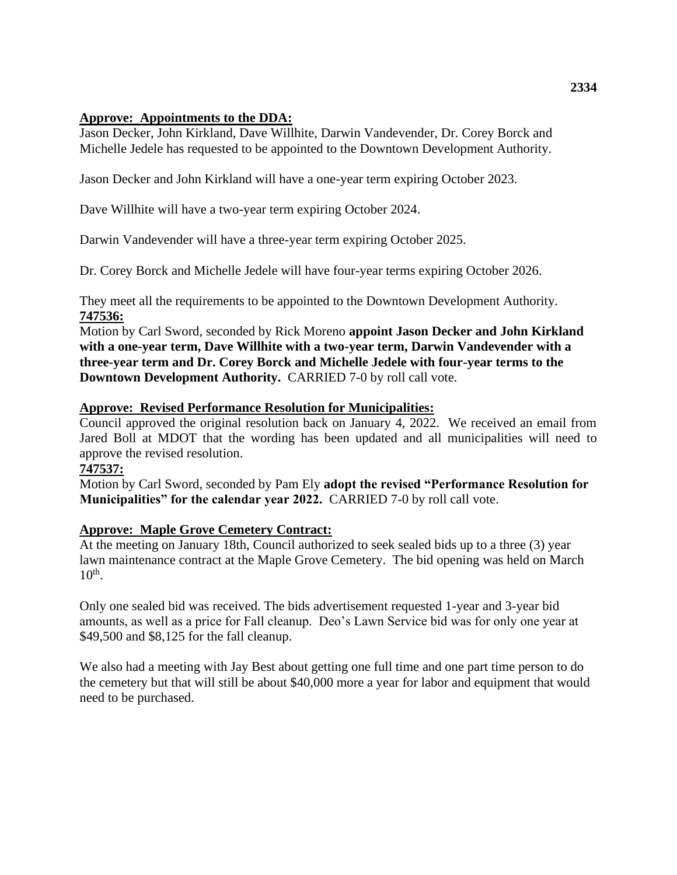### **Approve: Appointments to the DDA:**

Jason Decker, John Kirkland, Dave Willhite, Darwin Vandevender, Dr. Corey Borck and Michelle Jedele has requested to be appointed to the Downtown Development Authority.

Jason Decker and John Kirkland will have a one-year term expiring October 2023.

Dave Willhite will have a two-year term expiring October 2024.

Darwin Vandevender will have a three-year term expiring October 2025.

Dr. Corey Borck and Michelle Jedele will have four-year terms expiring October 2026.

They meet all the requirements to be appointed to the Downtown Development Authority. **747536:**

Motion by Carl Sword, seconded by Rick Moreno **appoint Jason Decker and John Kirkland with a one-year term, Dave Willhite with a two-year term, Darwin Vandevender with a three-year term and Dr. Corey Borck and Michelle Jedele with four-year terms to the Downtown Development Authority.** CARRIED 7-0 by roll call vote.

# **Approve: Revised Performance Resolution for Municipalities:**

Council approved the original resolution back on January 4, 2022. We received an email from Jared Boll at MDOT that the wording has been updated and all municipalities will need to approve the revised resolution.

#### **747537:**

Motion by Carl Sword, seconded by Pam Ely **adopt the revised "Performance Resolution for Municipalities" for the calendar year 2022.** CARRIED 7-0 by roll call vote.

#### **Approve: Maple Grove Cemetery Contract:**

At the meeting on January 18th, Council authorized to seek sealed bids up to a three (3) year lawn maintenance contract at the Maple Grove Cemetery. The bid opening was held on March  $10<sup>th</sup>$ .

Only one sealed bid was received. The bids advertisement requested 1-year and 3-year bid amounts, as well as a price for Fall cleanup. Deo's Lawn Service bid was for only one year at \$49,500 and \$8,125 for the fall cleanup.

We also had a meeting with Jay Best about getting one full time and one part time person to do the cemetery but that will still be about \$40,000 more a year for labor and equipment that would need to be purchased.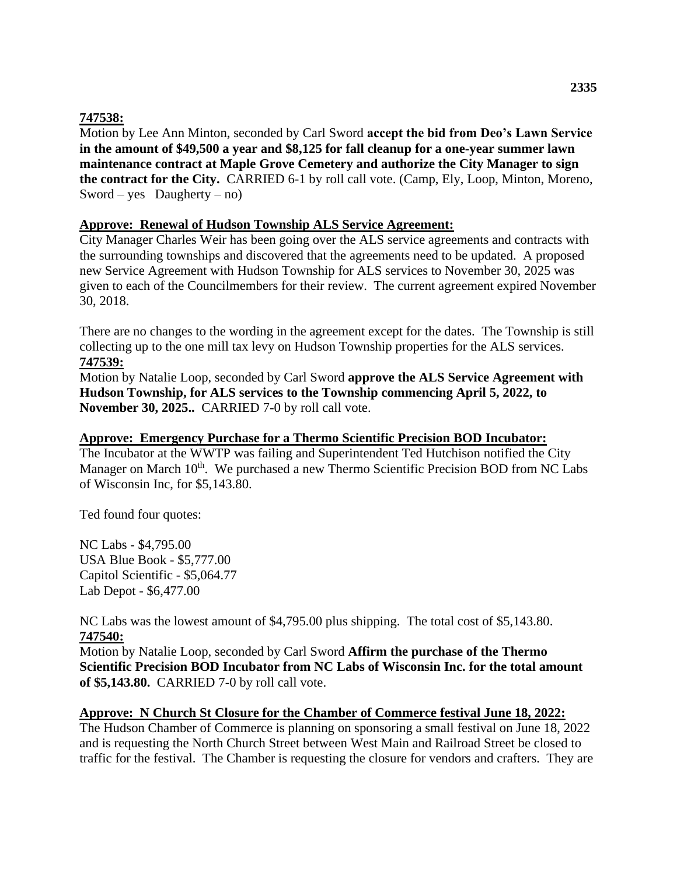# **747538:**

Motion by Lee Ann Minton, seconded by Carl Sword **accept the bid from Deo's Lawn Service in the amount of \$49,500 a year and \$8,125 for fall cleanup for a one-year summer lawn maintenance contract at Maple Grove Cemetery and authorize the City Manager to sign the contract for the City.** CARRIED 6-1 by roll call vote. (Camp, Ely, Loop, Minton, Moreno, Sword – yes Daugherty – no)

# **Approve: Renewal of Hudson Township ALS Service Agreement:**

City Manager Charles Weir has been going over the ALS service agreements and contracts with the surrounding townships and discovered that the agreements need to be updated. A proposed new Service Agreement with Hudson Township for ALS services to November 30, 2025 was given to each of the Councilmembers for their review. The current agreement expired November 30, 2018.

There are no changes to the wording in the agreement except for the dates. The Township is still collecting up to the one mill tax levy on Hudson Township properties for the ALS services. **747539:**

Motion by Natalie Loop, seconded by Carl Sword **approve the ALS Service Agreement with Hudson Township, for ALS services to the Township commencing April 5, 2022, to November 30, 2025..** CARRIED 7-0 by roll call vote.

#### **Approve: Emergency Purchase for a Thermo Scientific Precision BOD Incubator:**

The Incubator at the WWTP was failing and Superintendent Ted Hutchison notified the City Manager on March 10<sup>th</sup>. We purchased a new Thermo Scientific Precision BOD from NC Labs of Wisconsin Inc, for \$5,143.80.

Ted found four quotes:

NC Labs - \$4,795.00 USA Blue Book - \$5,777.00 Capitol Scientific - \$5,064.77 Lab Depot - \$6,477.00

NC Labs was the lowest amount of \$4,795.00 plus shipping. The total cost of \$5,143.80. **747540:**

Motion by Natalie Loop, seconded by Carl Sword **Affirm the purchase of the Thermo Scientific Precision BOD Incubator from NC Labs of Wisconsin Inc. for the total amount of \$5,143.80.** CARRIED 7-0 by roll call vote.

#### **Approve: N Church St Closure for the Chamber of Commerce festival June 18, 2022:**

The Hudson Chamber of Commerce is planning on sponsoring a small festival on June 18, 2022 and is requesting the North Church Street between West Main and Railroad Street be closed to traffic for the festival. The Chamber is requesting the closure for vendors and crafters. They are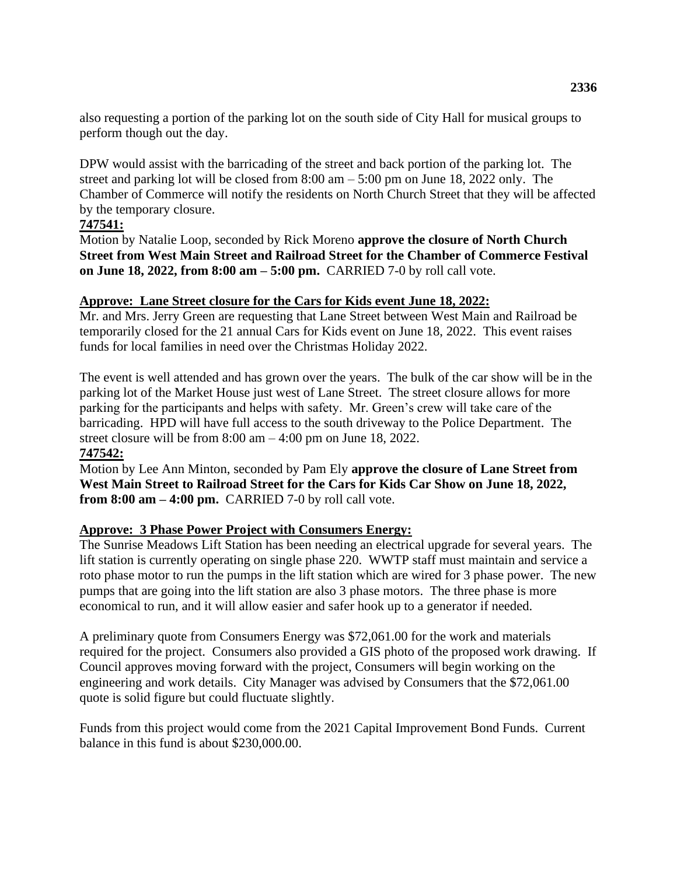also requesting a portion of the parking lot on the south side of City Hall for musical groups to perform though out the day.

DPW would assist with the barricading of the street and back portion of the parking lot. The street and parking lot will be closed from  $8:00 \text{ am} - 5:00 \text{ pm}$  on June 18, 2022 only. The Chamber of Commerce will notify the residents on North Church Street that they will be affected by the temporary closure.

# **747541:**

Motion by Natalie Loop, seconded by Rick Moreno **approve the closure of North Church Street from West Main Street and Railroad Street for the Chamber of Commerce Festival on June 18, 2022, from 8:00 am – 5:00 pm.** CARRIED 7-0 by roll call vote.

# **Approve: Lane Street closure for the Cars for Kids event June 18, 2022:**

Mr. and Mrs. Jerry Green are requesting that Lane Street between West Main and Railroad be temporarily closed for the 21 annual Cars for Kids event on June 18, 2022. This event raises funds for local families in need over the Christmas Holiday 2022.

The event is well attended and has grown over the years. The bulk of the car show will be in the parking lot of the Market House just west of Lane Street. The street closure allows for more parking for the participants and helps with safety. Mr. Green's crew will take care of the barricading. HPD will have full access to the south driveway to the Police Department. The street closure will be from 8:00 am – 4:00 pm on June 18, 2022.

# **747542:**

Motion by Lee Ann Minton, seconded by Pam Ely **approve the closure of Lane Street from West Main Street to Railroad Street for the Cars for Kids Car Show on June 18, 2022, from 8:00 am – 4:00 pm.** CARRIED 7-0 by roll call vote.

# **Approve: 3 Phase Power Project with Consumers Energy:**

The Sunrise Meadows Lift Station has been needing an electrical upgrade for several years. The lift station is currently operating on single phase 220. WWTP staff must maintain and service a roto phase motor to run the pumps in the lift station which are wired for 3 phase power. The new pumps that are going into the lift station are also 3 phase motors. The three phase is more economical to run, and it will allow easier and safer hook up to a generator if needed.

A preliminary quote from Consumers Energy was \$72,061.00 for the work and materials required for the project. Consumers also provided a GIS photo of the proposed work drawing. If Council approves moving forward with the project, Consumers will begin working on the engineering and work details. City Manager was advised by Consumers that the \$72,061.00 quote is solid figure but could fluctuate slightly.

Funds from this project would come from the 2021 Capital Improvement Bond Funds. Current balance in this fund is about \$230,000.00.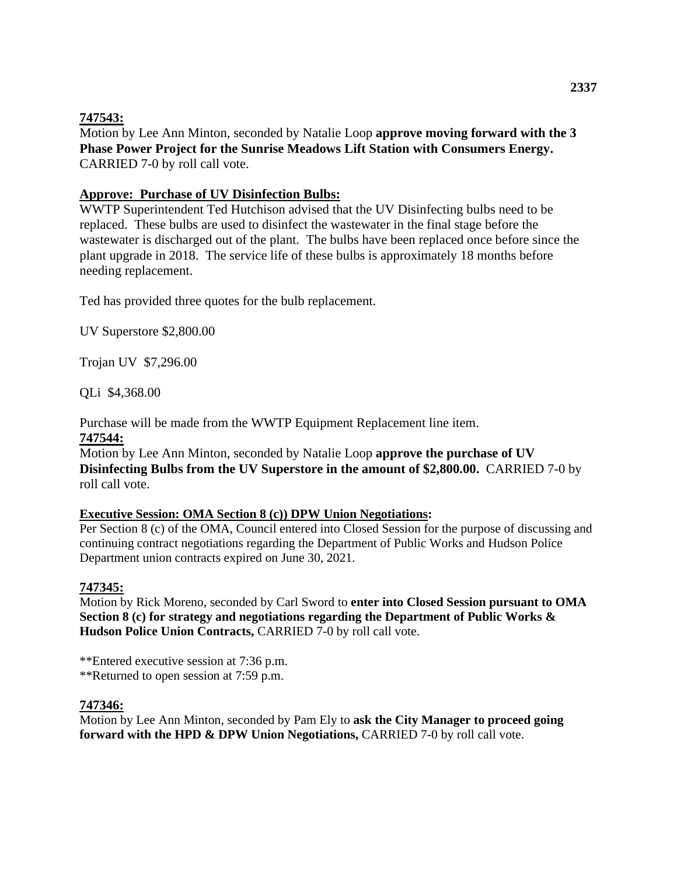# **747543:**

Motion by Lee Ann Minton, seconded by Natalie Loop **approve moving forward with the 3 Phase Power Project for the Sunrise Meadows Lift Station with Consumers Energy.**  CARRIED 7-0 by roll call vote.

### **Approve: Purchase of UV Disinfection Bulbs:**

WWTP Superintendent Ted Hutchison advised that the UV Disinfecting bulbs need to be replaced. These bulbs are used to disinfect the wastewater in the final stage before the wastewater is discharged out of the plant. The bulbs have been replaced once before since the plant upgrade in 2018. The service life of these bulbs is approximately 18 months before needing replacement.

Ted has provided three quotes for the bulb replacement.

UV Superstore \$2,800.00

Trojan UV \$7,296.00

QLi \$4,368.00

Purchase will be made from the WWTP Equipment Replacement line item.

#### **747544:**

Motion by Lee Ann Minton, seconded by Natalie Loop **approve the purchase of UV Disinfecting Bulbs from the UV Superstore in the amount of \$2,800.00.** CARRIED 7-0 by roll call vote.

#### **Executive Session: OMA Section 8 (c)) DPW Union Negotiations:**

Per Section 8 (c) of the OMA, Council entered into Closed Session for the purpose of discussing and continuing contract negotiations regarding the Department of Public Works and Hudson Police Department union contracts expired on June 30, 2021.

# **747345:**

Motion by Rick Moreno, seconded by Carl Sword to **enter into Closed Session pursuant to OMA Section 8 (c) for strategy and negotiations regarding the Department of Public Works & Hudson Police Union Contracts,** CARRIED 7-0 by roll call vote.

\*\*Entered executive session at 7:36 p.m. \*\*Returned to open session at 7:59 p.m.

# **747346:**

Motion by Lee Ann Minton, seconded by Pam Ely to **ask the City Manager to proceed going forward with the HPD & DPW Union Negotiations, CARRIED 7-0 by roll call vote.**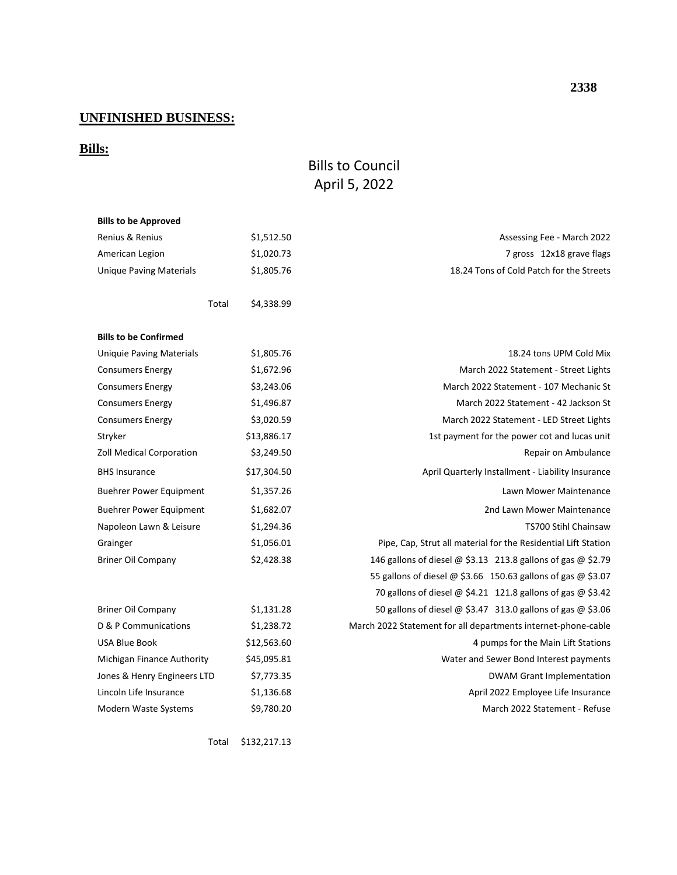# **UNFINISHED BUSINESS:**

# **Bills:**

# Bills to Council April 5, 2022

| <b>Bills to be Approved</b>     |                     |                                                                |
|---------------------------------|---------------------|----------------------------------------------------------------|
| Renius & Renius                 | \$1,512.50          | Assessing Fee - March 2022                                     |
| American Legion                 | \$1,020.73          | 7 gross 12x18 grave flags                                      |
| <b>Unique Paving Materials</b>  | \$1,805.76          | 18.24 Tons of Cold Patch for the Streets                       |
|                                 |                     |                                                                |
|                                 | \$4,338.99<br>Total |                                                                |
|                                 |                     |                                                                |
| <b>Bills to be Confirmed</b>    |                     |                                                                |
| <b>Uniquie Paving Materials</b> | \$1,805.76          | 18.24 tons UPM Cold Mix                                        |
| <b>Consumers Energy</b>         | \$1,672.96          | March 2022 Statement - Street Lights                           |
| <b>Consumers Energy</b>         | \$3,243.06          | March 2022 Statement - 107 Mechanic St                         |
| <b>Consumers Energy</b>         | \$1,496.87          | March 2022 Statement - 42 Jackson St                           |
| <b>Consumers Energy</b>         | \$3,020.59          | March 2022 Statement - LED Street Lights                       |
| Stryker                         | \$13,886.17         | 1st payment for the power cot and lucas unit                   |
| <b>Zoll Medical Corporation</b> | \$3,249.50          | Repair on Ambulance                                            |
| <b>BHS Insurance</b>            | \$17,304.50         | April Quarterly Installment - Liability Insurance              |
| <b>Buehrer Power Equipment</b>  | \$1,357.26          | Lawn Mower Maintenance                                         |
| <b>Buehrer Power Equipment</b>  | \$1,682.07          | 2nd Lawn Mower Maintenance                                     |
| Napoleon Lawn & Leisure         | \$1,294.36          | <b>TS700 Stihl Chainsaw</b>                                    |
| Grainger                        | \$1,056.01          | Pipe, Cap, Strut all material for the Residential Lift Station |
| <b>Briner Oil Company</b>       | \$2,428.38          | 146 gallons of diesel @ \$3.13 213.8 gallons of gas @ \$2.79   |
|                                 |                     | 55 gallons of diesel @ \$3.66 150.63 gallons of gas @ \$3.07   |
|                                 |                     | 70 gallons of diesel @ \$4.21 121.8 gallons of gas @ \$3.42    |
| <b>Briner Oil Company</b>       | \$1,131.28          | 50 gallons of diesel @ \$3.47 313.0 gallons of gas @ \$3.06    |
| D & P Communications            | \$1,238.72          | March 2022 Statement for all departments internet-phone-cable  |
| USA Blue Book                   | \$12,563.60         | 4 pumps for the Main Lift Stations                             |
| Michigan Finance Authority      | \$45,095.81         | Water and Sewer Bond Interest payments                         |
| Jones & Henry Engineers LTD     | \$7,773.35          | <b>DWAM Grant Implementation</b>                               |
| Lincoln Life Insurance          | \$1,136.68          | April 2022 Employee Life Insurance                             |
| Modern Waste Systems            | \$9,780.20          | March 2022 Statement - Refuse                                  |
|                                 |                     |                                                                |

Total \$132,217.13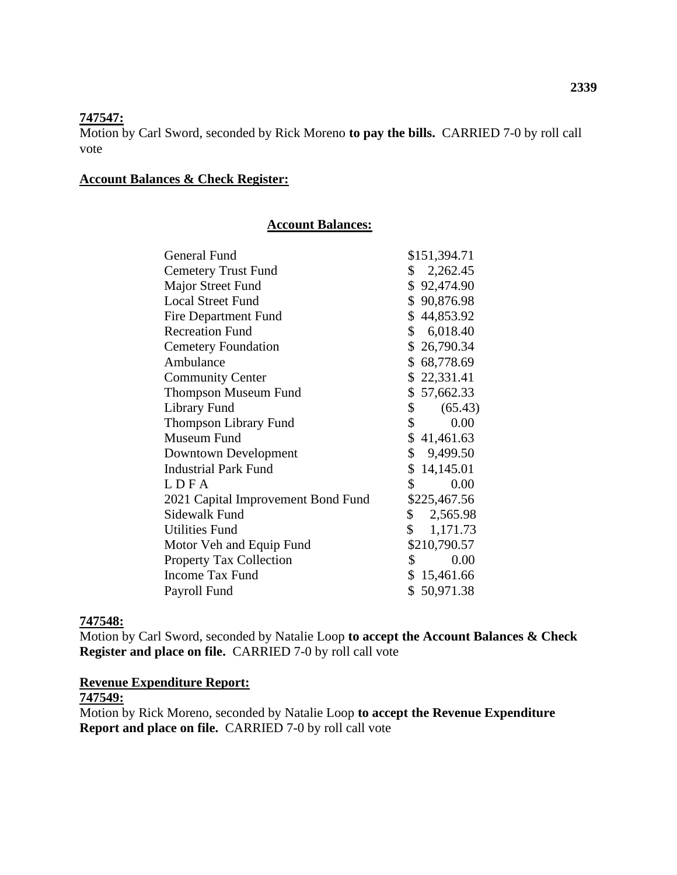#### **747547:**

Motion by Carl Sword, seconded by Rick Moreno **to pay the bills.** CARRIED 7-0 by roll call vote

#### **Account Balances & Check Register:**

#### **Account Balances:**

| General Fund                       | \$151,394.71             |
|------------------------------------|--------------------------|
| <b>Cemetery Trust Fund</b>         | \$2,262.45               |
| Major Street Fund                  | \$92,474.90              |
| <b>Local Street Fund</b>           | \$90,876.98              |
| <b>Fire Department Fund</b>        | \$44,853.92              |
| <b>Recreation Fund</b>             | \$6,018.40               |
| <b>Cemetery Foundation</b>         | \$26,790.34              |
| Ambulance                          | \$68,778.69              |
| <b>Community Center</b>            | \$22,331.41              |
| <b>Thompson Museum Fund</b>        | \$57,662.33              |
| Library Fund                       | $\mathsf{\$}$<br>(65.43) |
| <b>Thompson Library Fund</b>       | 0.00<br>\$               |
| Museum Fund                        | \$41,461.63              |
| Downtown Development               | \$9,499.50               |
| <b>Industrial Park Fund</b>        | \$14,145.01              |
| LDFA                               | \$<br>0.00               |
| 2021 Capital Improvement Bond Fund | \$225,467.56             |
| Sidewalk Fund                      | \$2,565.98               |
| Utilities Fund                     | \$1,171.73               |
| Motor Veh and Equip Fund           | \$210,790.57             |
| <b>Property Tax Collection</b>     | $\mathcal{S}$<br>0.00    |
| <b>Income Tax Fund</b>             | \$15,461.66              |
| Payroll Fund                       | \$50,971.38              |
|                                    |                          |

# **747548:**

Motion by Carl Sword, seconded by Natalie Loop **to accept the Account Balances & Check Register and place on file.** CARRIED 7-0 by roll call vote

#### **Revenue Expenditure Report:**

#### **747549:**

Motion by Rick Moreno, seconded by Natalie Loop **to accept the Revenue Expenditure Report and place on file.** CARRIED 7-0 by roll call vote